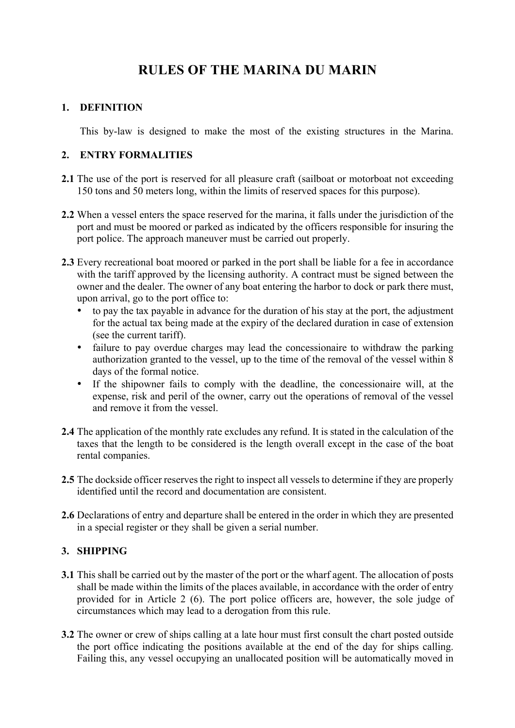# **RULES OF THE MARINA DU MARIN**

# **1. DEFINITION**

This by-law is designed to make the most of the existing structures in the Marina.

# **2. ENTRY FORMALITIES**

- **2.1** The use of the port is reserved for all pleasure craft (sailboat or motorboat not exceeding 150 tons and 50 meters long, within the limits of reserved spaces for this purpose).
- **2.2** When a vessel enters the space reserved for the marina, it falls under the jurisdiction of the port and must be moored or parked as indicated by the officers responsible for insuring the port police. The approach maneuver must be carried out properly.
- **2.3** Every recreational boat moored or parked in the port shall be liable for a fee in accordance with the tariff approved by the licensing authority. A contract must be signed between the owner and the dealer. The owner of any boat entering the harbor to dock or park there must, upon arrival, go to the port office to:
	- to pay the tax payable in advance for the duration of his stay at the port, the adjustment for the actual tax being made at the expiry of the declared duration in case of extension (see the current tariff).
	- failure to pay overdue charges may lead the concessionaire to withdraw the parking authorization granted to the vessel, up to the time of the removal of the vessel within  $\frac{8}{3}$ days of the formal notice.
	- If the shipowner fails to comply with the deadline, the concessionaire will, at the expense, risk and peril of the owner, carry out the operations of removal of the vessel and remove it from the vessel.
- **2.4** The application of the monthly rate excludes any refund. It is stated in the calculation of the taxes that the length to be considered is the length overall except in the case of the boat rental companies.
- **2.5** The dockside officer reserves the right to inspect all vessels to determine if they are properly identified until the record and documentation are consistent.
- **2.6** Declarations of entry and departure shall be entered in the order in which they are presented in a special register or they shall be given a serial number.

# **3. SHIPPING**

- **3.1** This shall be carried out by the master of the port or the wharf agent. The allocation of posts shall be made within the limits of the places available, in accordance with the order of entry provided for in Article 2 (6). The port police officers are, however, the sole judge of circumstances which may lead to a derogation from this rule.
- **3.2** The owner or crew of ships calling at a late hour must first consult the chart posted outside the port office indicating the positions available at the end of the day for ships calling. Failing this, any vessel occupying an unallocated position will be automatically moved in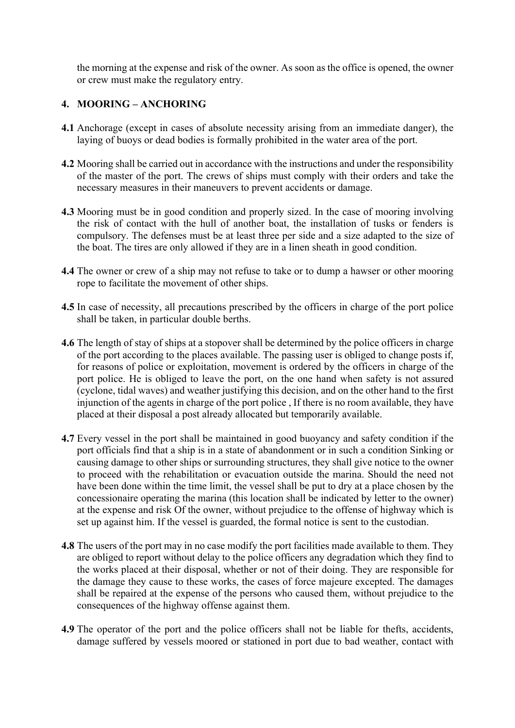the morning at the expense and risk of the owner. As soon as the office is opened, the owner or crew must make the regulatory entry.

# **4. MOORING – ANCHORING**

- **4.1** Anchorage (except in cases of absolute necessity arising from an immediate danger), the laying of buoys or dead bodies is formally prohibited in the water area of the port.
- **4.2** Mooring shall be carried out in accordance with the instructions and under the responsibility of the master of the port. The crews of ships must comply with their orders and take the necessary measures in their maneuvers to prevent accidents or damage.
- **4.3** Mooring must be in good condition and properly sized. In the case of mooring involving the risk of contact with the hull of another boat, the installation of tusks or fenders is compulsory. The defenses must be at least three per side and a size adapted to the size of the boat. The tires are only allowed if they are in a linen sheath in good condition.
- **4.4** The owner or crew of a ship may not refuse to take or to dump a hawser or other mooring rope to facilitate the movement of other ships.
- **4.5** In case of necessity, all precautions prescribed by the officers in charge of the port police shall be taken, in particular double berths.
- **4.6** The length of stay of ships at a stopover shall be determined by the police officers in charge of the port according to the places available. The passing user is obliged to change posts if, for reasons of police or exploitation, movement is ordered by the officers in charge of the port police. He is obliged to leave the port, on the one hand when safety is not assured (cyclone, tidal waves) and weather justifying this decision, and on the other hand to the first injunction of the agents in charge of the port police , If there is no room available, they have placed at their disposal a post already allocated but temporarily available.
- **4.7** Every vessel in the port shall be maintained in good buoyancy and safety condition if the port officials find that a ship is in a state of abandonment or in such a condition Sinking or causing damage to other ships or surrounding structures, they shall give notice to the owner to proceed with the rehabilitation or evacuation outside the marina. Should the need not have been done within the time limit, the vessel shall be put to dry at a place chosen by the concessionaire operating the marina (this location shall be indicated by letter to the owner) at the expense and risk Of the owner, without prejudice to the offense of highway which is set up against him. If the vessel is guarded, the formal notice is sent to the custodian.
- **4.8** The users of the port may in no case modify the port facilities made available to them. They are obliged to report without delay to the police officers any degradation which they find to the works placed at their disposal, whether or not of their doing. They are responsible for the damage they cause to these works, the cases of force majeure excepted. The damages shall be repaired at the expense of the persons who caused them, without prejudice to the consequences of the highway offense against them.
- **4.9** The operator of the port and the police officers shall not be liable for thefts, accidents, damage suffered by vessels moored or stationed in port due to bad weather, contact with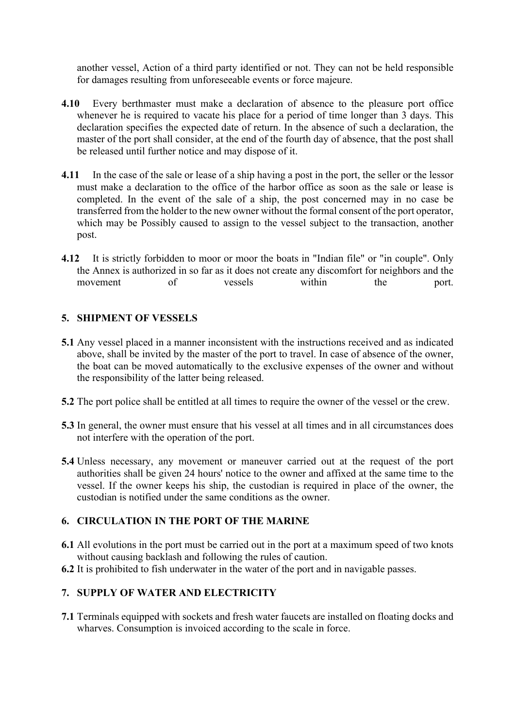another vessel, Action of a third party identified or not. They can not be held responsible for damages resulting from unforeseeable events or force majeure.

- **4.10** Every berthmaster must make a declaration of absence to the pleasure port office whenever he is required to vacate his place for a period of time longer than 3 days. This declaration specifies the expected date of return. In the absence of such a declaration, the master of the port shall consider, at the end of the fourth day of absence, that the post shall be released until further notice and may dispose of it.
- **4.11** In the case of the sale or lease of a ship having a post in the port, the seller or the lessor must make a declaration to the office of the harbor office as soon as the sale or lease is completed. In the event of the sale of a ship, the post concerned may in no case be transferred from the holder to the new owner without the formal consent of the port operator, which may be Possibly caused to assign to the vessel subject to the transaction, another post.
- **4.12** It is strictly forbidden to moor or moor the boats in "Indian file" or "in couple". Only the Annex is authorized in so far as it does not create any discomfort for neighbors and the movement of vessels within the port.

### **5. SHIPMENT OF VESSELS**

- **5.1** Any vessel placed in a manner inconsistent with the instructions received and as indicated above, shall be invited by the master of the port to travel. In case of absence of the owner, the boat can be moved automatically to the exclusive expenses of the owner and without the responsibility of the latter being released.
- **5.2** The port police shall be entitled at all times to require the owner of the vessel or the crew.
- **5.3** In general, the owner must ensure that his vessel at all times and in all circumstances does not interfere with the operation of the port.
- **5.4** Unless necessary, any movement or maneuver carried out at the request of the port authorities shall be given 24 hours' notice to the owner and affixed at the same time to the vessel. If the owner keeps his ship, the custodian is required in place of the owner, the custodian is notified under the same conditions as the owner.

#### **6. CIRCULATION IN THE PORT OF THE MARINE**

- **6.1** All evolutions in the port must be carried out in the port at a maximum speed of two knots without causing backlash and following the rules of caution.
- **6.2** It is prohibited to fish underwater in the water of the port and in navigable passes.

#### **7. SUPPLY OF WATER AND ELECTRICITY**

**7.1** Terminals equipped with sockets and fresh water faucets are installed on floating docks and wharves. Consumption is invoiced according to the scale in force.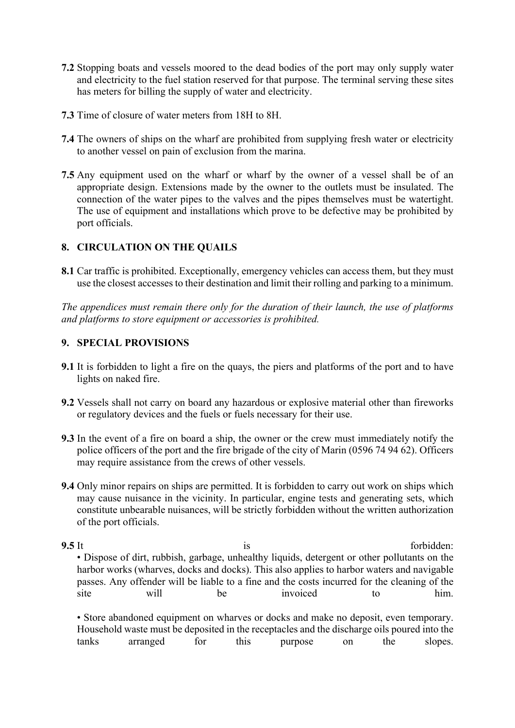- **7.2** Stopping boats and vessels moored to the dead bodies of the port may only supply water and electricity to the fuel station reserved for that purpose. The terminal serving these sites has meters for billing the supply of water and electricity.
- **7.3** Time of closure of water meters from 18H to 8H.
- **7.4** The owners of ships on the wharf are prohibited from supplying fresh water or electricity to another vessel on pain of exclusion from the marina.
- **7.5** Any equipment used on the wharf or wharf by the owner of a vessel shall be of an appropriate design. Extensions made by the owner to the outlets must be insulated. The connection of the water pipes to the valves and the pipes themselves must be watertight. The use of equipment and installations which prove to be defective may be prohibited by port officials.

# **8. CIRCULATION ON THE QUAILS**

**8.1** Car traffic is prohibited. Exceptionally, emergency vehicles can access them, but they must use the closest accesses to their destination and limit their rolling and parking to a minimum.

*The appendices must remain there only for the duration of their launch, the use of platforms and platforms to store equipment or accessories is prohibited.*

# **9. SPECIAL PROVISIONS**

- **9.1** It is forbidden to light a fire on the quays, the piers and platforms of the port and to have lights on naked fire.
- **9.2** Vessels shall not carry on board any hazardous or explosive material other than fireworks or regulatory devices and the fuels or fuels necessary for their use.
- **9.3** In the event of a fire on board a ship, the owner or the crew must immediately notify the police officers of the port and the fire brigade of the city of Marin (0596 74 94 62). Officers may require assistance from the crews of other vessels.
- **9.4** Only minor repairs on ships are permitted. It is forbidden to carry out work on ships which may cause nuisance in the vicinity. In particular, engine tests and generating sets, which constitute unbearable nuisances, will be strictly forbidden without the written authorization of the port officials.
- **9.5** It forbidden: • Dispose of dirt, rubbish, garbage, unhealthy liquids, detergent or other pollutants on the harbor works (wharves, docks and docks). This also applies to harbor waters and navigable passes. Any offender will be liable to a fine and the costs incurred for the cleaning of the site will be invoiced to him. • Store abandoned equipment on wharves or docks and make no deposit, even temporary. Household waste must be deposited in the receptacles and the discharge oils poured into the

tanks arranged for this purpose on the slopes.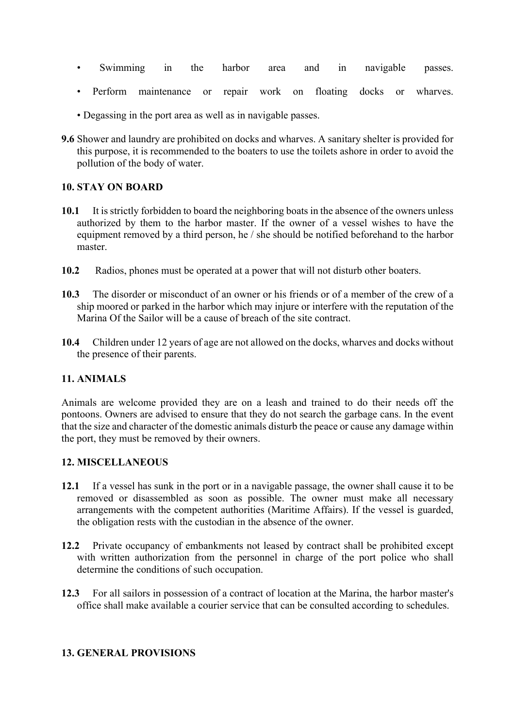- Swimming in the harbor area and in navigable passes.
- Perform maintenance or repair work on floating docks or wharves.
- Degassing in the port area as well as in navigable passes.
- **9.6** Shower and laundry are prohibited on docks and wharves. A sanitary shelter is provided for this purpose, it is recommended to the boaters to use the toilets ashore in order to avoid the pollution of the body of water.

# **10. STAY ON BOARD**

- **10.1** It is strictly forbidden to board the neighboring boats in the absence of the owners unless authorized by them to the harbor master. If the owner of a vessel wishes to have the equipment removed by a third person, he / she should be notified beforehand to the harbor master.
- **10.2** Radios, phones must be operated at a power that will not disturb other boaters.
- **10.3** The disorder or misconduct of an owner or his friends or of a member of the crew of a ship moored or parked in the harbor which may injure or interfere with the reputation of the Marina Of the Sailor will be a cause of breach of the site contract.
- **10.4** Children under 12 years of age are not allowed on the docks, wharves and docks without the presence of their parents.

# **11. ANIMALS**

Animals are welcome provided they are on a leash and trained to do their needs off the pontoons. Owners are advised to ensure that they do not search the garbage cans. In the event that the size and character of the domestic animals disturb the peace or cause any damage within the port, they must be removed by their owners.

# **12. MISCELLANEOUS**

- **12.1** If a vessel has sunk in the port or in a navigable passage, the owner shall cause it to be removed or disassembled as soon as possible. The owner must make all necessary arrangements with the competent authorities (Maritime Affairs). If the vessel is guarded, the obligation rests with the custodian in the absence of the owner.
- **12.2** Private occupancy of embankments not leased by contract shall be prohibited except with written authorization from the personnel in charge of the port police who shall determine the conditions of such occupation.
- **12.3** For all sailors in possession of a contract of location at the Marina, the harbor master's office shall make available a courier service that can be consulted according to schedules.

# **13. GENERAL PROVISIONS**